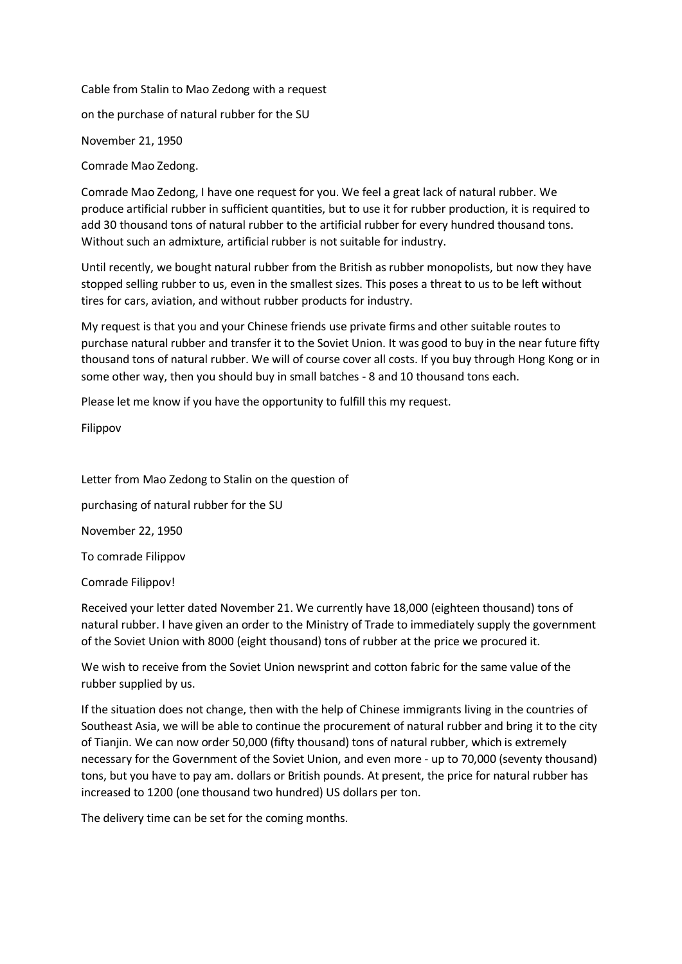Cable from Stalin to Mao Zedong with a request

on the purchase of natural rubber for the SU

November 21, 1950

Comrade Mao Zedong.

Comrade Mao Zedong, I have one request for you. We feel a great lack of natural rubber. We produce artificial rubber in sufficient quantities, but to use it for rubber production, it is required to add 30 thousand tons of natural rubber to the artificial rubber for every hundred thousand tons. Without such an admixture, artificial rubber is not suitable for industry.

Until recently, we bought natural rubber from the British as rubber monopolists, but now they have stopped selling rubber to us, even in the smallest sizes. This poses a threat to us to be left without tires for cars, aviation, and without rubber products for industry.

My request is that you and your Chinese friends use private firms and other suitable routes to purchase natural rubber and transfer it to the Soviet Union. It was good to buy in the near future fifty thousand tons of natural rubber. We will of course cover all costs. If you buy through Hong Kong or in some other way, then you should buy in small batches - 8 and 10 thousand tons each.

Please let me know if you have the opportunity to fulfill this my request.

Filippov

Letter from Mao Zedong to Stalin on the question of purchasing of natural rubber for the SU November 22, 1950 To comrade Filippov Comrade Filippov!

Received your letter dated November 21. We currently have 18,000 (eighteen thousand) tons of natural rubber. I have given an order to the Ministry of Trade to immediately supply the government of the Soviet Union with 8000 (eight thousand) tons of rubber at the price we procured it.

We wish to receive from the Soviet Union newsprint and cotton fabric for the same value of the rubber supplied by us.

If the situation does not change, then with the help of Chinese immigrants living in the countries of Southeast Asia, we will be able to continue the procurement of natural rubber and bring it to the city of Tianjin. We can now order 50,000 (fifty thousand) tons of natural rubber, which is extremely necessary for the Government of the Soviet Union, and even more - up to 70,000 (seventy thousand) tons, but you have to pay am. dollars or British pounds. At present, the price for natural rubber has increased to 1200 (one thousand two hundred) US dollars per ton.

The delivery time can be set for the coming months.